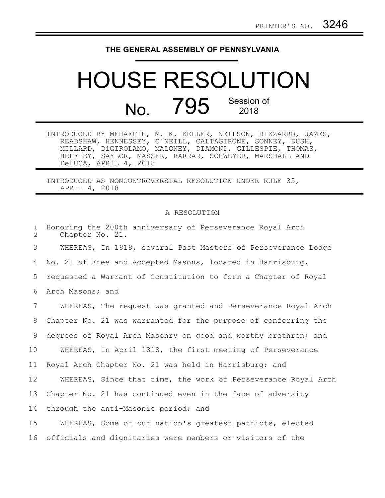## **THE GENERAL ASSEMBLY OF PENNSYLVANIA**

## HOUSE RESOLUTION No. 795 Session of

INTRODUCED BY MEHAFFIE, M. K. KELLER, NEILSON, BIZZARRO, JAMES, READSHAW, HENNESSEY, O'NEILL, CALTAGIRONE, SONNEY, DUSH, MILLARD, DiGIROLAMO, MALONEY, DIAMOND, GILLESPIE, THOMAS, HEFFLEY, SAYLOR, MASSER, BARRAR, SCHWEYER, MARSHALL AND DeLUCA, APRIL 4, 2018

INTRODUCED AS NONCONTROVERSIAL RESOLUTION UNDER RULE 35, APRIL 4, 2018

## A RESOLUTION

| $\mathbf{1}$<br>$\overline{2}$ | Honoring the 200th anniversary of Perseverance Royal Arch<br>Chapter No. 21. |
|--------------------------------|------------------------------------------------------------------------------|
| 3                              | WHEREAS, In 1818, several Past Masters of Perseverance Lodge                 |
| 4                              | No. 21 of Free and Accepted Masons, located in Harrisburg,                   |
| 5                              | requested a Warrant of Constitution to form a Chapter of Royal               |
| 6                              | Arch Masons; and                                                             |
| $7\phantom{.0}$                | WHEREAS, The request was granted and Perseverance Royal Arch                 |
| 8                              | Chapter No. 21 was warranted for the purpose of conferring the               |
| 9                              | degrees of Royal Arch Masonry on good and worthy brethren; and               |
| 10                             | WHEREAS, In April 1818, the first meeting of Perseverance                    |
| 11                             | Royal Arch Chapter No. 21 was held in Harrisburg; and                        |
| 12                             | WHEREAS, Since that time, the work of Perseverance Royal Arch                |
| 13                             | Chapter No. 21 has continued even in the face of adversity                   |
| 14                             | through the anti-Masonic period; and                                         |
| 15                             | WHEREAS, Some of our nation's greatest patriots, elected                     |
| 16                             | officials and dignitaries were members or visitors of the                    |